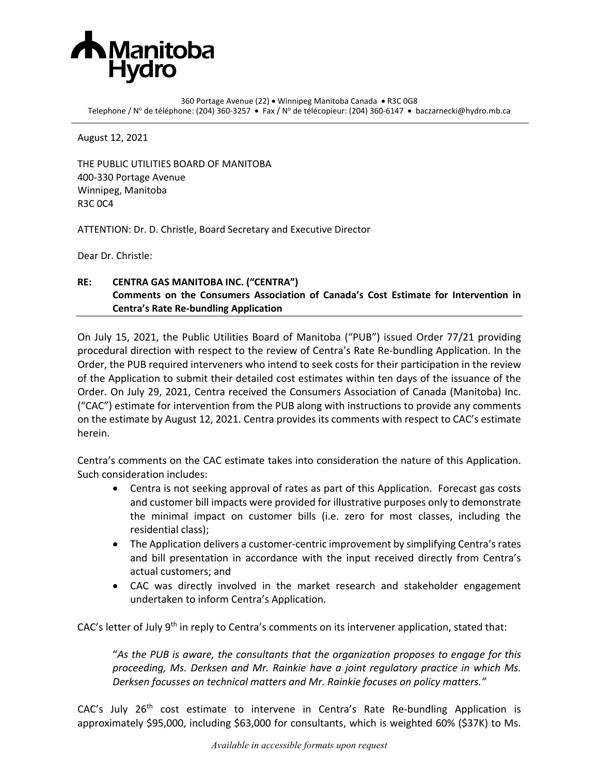

360 Portage Avenue (22) • Winnipeg Manitoba Canada • R3C 0G8 Telephone / Nº de téléphone: (204) 360-3257 • Fax / Nº de télécopieur: (204) 360-6147 • baczarnecki@hydro.mb.ca

August 12, 2021

THE PUBLIC UTILITIES BOARD OF MANITOBA 400-330 Portage Avenue Winnipeg, Manitoba R3C 0C4

ATTENTION: Dr. D. Christle, Board Secretary and Executive Director

Dear Dr. Christle:

## **RE: CENTRA GAS MANITOBA INC. ("CENTRA") Comments on the Consumers Association of Canada's Cost Estimate for Intervention in Centra's Rate Re-bundling Application**

On July 15, 2021, the Public Utilities Board of Manitoba ("PUB") issued Order 77/21 providing procedural direction with respect to the review of Centra's Rate Re-bundling Application. In the Order, the PUB required interveners who intend to seek costs for their participation in the review of the Application to submit their detailed cost estimates within ten days of the issuance of the Order. On July 29, 2021, Centra received the Consumers Association of Canada (Manitoba) Inc. ("CAC") estimate for intervention from the PUB along with instructions to provide any comments on the estimate by August 12, 2021. Centra provides its comments with respect to CAC's estimate herein.

Centra's comments on the CAC estimate takes into consideration the nature of this Application. Such consideration includes:

- Centra is not seeking approval of rates as part of this Application. Forecast gas costs and customer bill impacts were provided for illustrative purposes only to demonstrate the minimal impact on customer bills (i.e. zero for most classes, including the residential class);
- The Application delivers a customer-centric improvement by simplifying Centra's rates and bill presentation in accordance with the input received directly from Centra's actual customers; and
- CAC was directly involved in the market research and stakeholder engagement undertaken to inform Centra's Application.

CAC's letter of July  $9<sup>th</sup>$  in reply to Centra's comments on its intervener application, stated that:

"*As the PUB is aware, the consultants that the organization proposes to engage for this proceeding, Ms. Derksen and Mr. Rainkie have a joint regulatory practice in which Ms. Derksen focusses on technical matters and Mr. Rainkie focuses on policy matters."* 

CAC's July 26<sup>th</sup> cost estimate to intervene in Centra's Rate Re-bundling Application is approximately \$95,000, including \$63,000 for consultants, which is weighted 60% (\$37K) to Ms.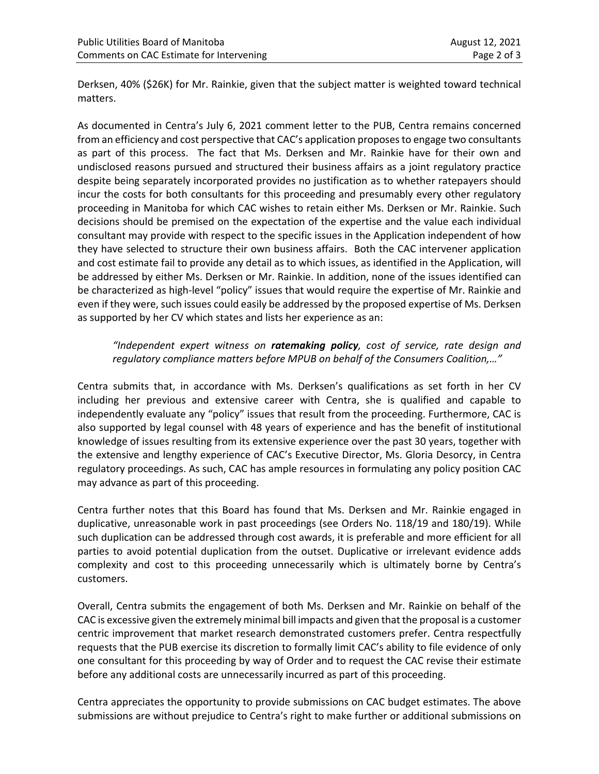Derksen, 40% (\$26K) for Mr. Rainkie, given that the subject matter is weighted toward technical matters.

As documented in Centra's July 6, 2021 comment letter to the PUB, Centra remains concerned from an efficiency and cost perspective that CAC's application proposes to engage two consultants as part of this process. The fact that Ms. Derksen and Mr. Rainkie have for their own and undisclosed reasons pursued and structured their business affairs as a joint regulatory practice despite being separately incorporated provides no justification as to whether ratepayers should incur the costs for both consultants for this proceeding and presumably every other regulatory proceeding in Manitoba for which CAC wishes to retain either Ms. Derksen or Mr. Rainkie. Such decisions should be premised on the expectation of the expertise and the value each individual consultant may provide with respect to the specific issues in the Application independent of how they have selected to structure their own business affairs. Both the CAC intervener application and cost estimate fail to provide any detail as to which issues, as identified in the Application, will be addressed by either Ms. Derksen or Mr. Rainkie. In addition, none of the issues identified can be characterized as high-level "policy" issues that would require the expertise of Mr. Rainkie and even if they were, such issues could easily be addressed by the proposed expertise of Ms. Derksen as supported by her CV which states and lists her experience as an:

*"Independent expert witness on ratemaking policy, cost of service, rate design and regulatory compliance matters before MPUB on behalf of the Consumers Coalition,…"*

Centra submits that, in accordance with Ms. Derksen's qualifications as set forth in her CV including her previous and extensive career with Centra, she is qualified and capable to independently evaluate any "policy" issues that result from the proceeding. Furthermore, CAC is also supported by legal counsel with 48 years of experience and has the benefit of institutional knowledge of issues resulting from its extensive experience over the past 30 years, together with the extensive and lengthy experience of CAC's Executive Director, Ms. Gloria Desorcy, in Centra regulatory proceedings. As such, CAC has ample resources in formulating any policy position CAC may advance as part of this proceeding.

Centra further notes that this Board has found that Ms. Derksen and Mr. Rainkie engaged in duplicative, unreasonable work in past proceedings (see Orders No. 118/19 and 180/19). While such duplication can be addressed through cost awards, it is preferable and more efficient for all parties to avoid potential duplication from the outset. Duplicative or irrelevant evidence adds complexity and cost to this proceeding unnecessarily which is ultimately borne by Centra's customers.

Overall, Centra submits the engagement of both Ms. Derksen and Mr. Rainkie on behalf of the CAC is excessive given the extremely minimal bill impacts and given that the proposal is a customer centric improvement that market research demonstrated customers prefer. Centra respectfully requests that the PUB exercise its discretion to formally limit CAC's ability to file evidence of only one consultant for this proceeding by way of Order and to request the CAC revise their estimate before any additional costs are unnecessarily incurred as part of this proceeding.

Centra appreciates the opportunity to provide submissions on CAC budget estimates. The above submissions are without prejudice to Centra's right to make further or additional submissions on